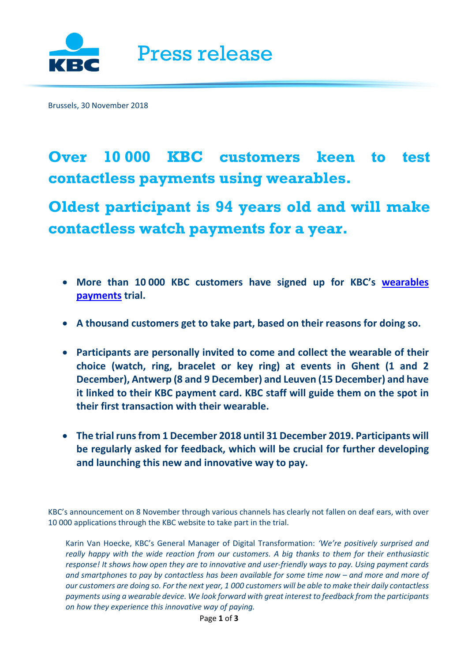

Brussels, 30 November 2018

# **Over 10 000 KBC customers keen to test contactless payments using wearables.**

**Oldest participant is 94 years old and will make contactless watch payments for a year.**

- **More than 10 000 KBC customers have signed up for KBC's [wearables](https://newsroom.kbc.com/a-first-in-belgium)  [payments](https://newsroom.kbc.com/a-first-in-belgium) trial.**
- **A thousand customers get to take part, based on their reasons for doing so.**
- **Participants are personally invited to come and collect the wearable of their choice (watch, ring, bracelet or key ring) at events in Ghent (1 and 2 December), Antwerp (8 and 9 December) and Leuven (15 December) and have it linked to their KBC payment card. KBC staff will guide them on the spot in their first transaction with their wearable.**
- **The trial runs from 1 December 2018 until 31 December 2019. Participants will be regularly asked for feedback, which will be crucial for further developing and launching this new and innovative way to pay.**

KBC's announcement on 8 November through various channels has clearly not fallen on deaf ears, with over 10 000 applications through the KBC website to take part in the trial.

Karin Van Hoecke, KBC's General Manager of Digital Transformation: *'We're positively surprised and really happy with the wide reaction from our customers. A big thanks to them for their enthusiastic response! It shows how open they are to innovative and user-friendly ways to pay. Using payment cards and smartphones to pay by contactless has been available for some time now – and more and more of our customers are doing so. For the next year, 1 000 customers will be able to make their daily contactless payments using a wearable device. We look forward with great interest to feedback from the participants on how they experience this innovative way of paying.*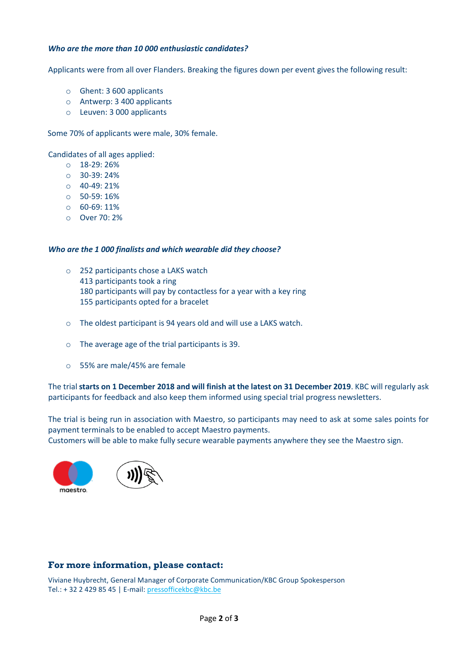### *Who are the more than 10 000 enthusiastic candidates?*

Applicants were from all over Flanders. Breaking the figures down per event gives the following result:

- o Ghent: 3 600 applicants
- o Antwerp: 3 400 applicants
- o Leuven: 3 000 applicants

Some 70% of applicants were male, 30% female.

Candidates of all ages applied:

- o 18-29: 26%
- o 30-39: 24%
- $O$  40-49: 21%
- o 50-59: 16%
- o 60-69: 11%
- o Over 70: 2%

#### *Who are the 1 000 finalists and which wearable did they choose?*

- o 252 participants chose a LAKS watch
	- 413 participants took a ring
	- 180 participants will pay by contactless for a year with a key ring
	- 155 participants opted for a bracelet
- o The oldest participant is 94 years old and will use a LAKS watch.
- o The average age of the trial participants is 39.
- o 55% are male/45% are female

The trial **starts on 1 December 2018 and will finish at the latest on 31 December 2019**. KBC will regularly ask participants for feedback and also keep them informed using special trial progress newsletters.

The trial is being run in association with Maestro, so participants may need to ask at some sales points for payment terminals to be enabled to accept Maestro payments.

Customers will be able to make fully secure wearable payments anywhere they see the Maestro sign.





## **For more information, please contact:**

Viviane Huybrecht, General Manager of Corporate Communication/KBC Group Spokesperson Tel.: + 32 2 429 85 45 | E-mail: [pressofficekbc@kbc.be](mailto:pressofficekbc@kbc.be)